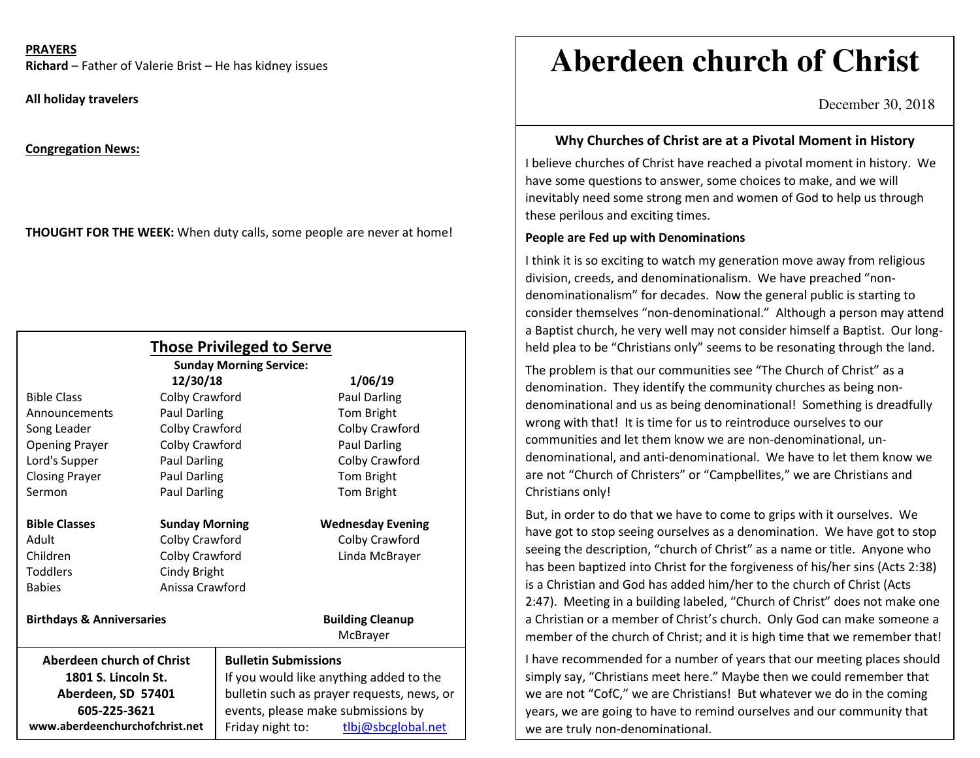#### **PRAYERS**

**Richard** – Father of Valerie Brist – He has kidney issues

**All holiday travelers** 

**Congregation News:**

**THOUGHT FOR THE WEEK:** When duty calls, some people are never at home!

|                                           |                       | <b>Those Privileged to Serve</b><br><b>Sunday Morning Service:</b>                    |                                     |
|-------------------------------------------|-----------------------|---------------------------------------------------------------------------------------|-------------------------------------|
|                                           | 12/30/18              |                                                                                       | 1/06/19                             |
| <b>Bible Class</b>                        | Colby Crawford        |                                                                                       | Paul Darling                        |
| Announcements                             | <b>Paul Darling</b>   |                                                                                       | Tom Bright                          |
| Song Leader                               | Colby Crawford        |                                                                                       | Colby Crawford                      |
| <b>Opening Prayer</b>                     | Colby Crawford        |                                                                                       | <b>Paul Darling</b>                 |
| Lord's Supper                             | Paul Darling          |                                                                                       | Colby Crawford                      |
| <b>Closing Prayer</b>                     | Paul Darling          |                                                                                       | Tom Bright                          |
| Sermon                                    | Paul Darling          |                                                                                       | Tom Bright                          |
| <b>Bible Classes</b>                      | <b>Sunday Morning</b> |                                                                                       | <b>Wednesday Evening</b>            |
| Adult                                     | Colby Crawford        |                                                                                       | Colby Crawford                      |
| Children                                  | Colby Crawford        |                                                                                       | Linda McBrayer                      |
| <b>Toddlers</b>                           | Cindy Bright          |                                                                                       |                                     |
| <b>Babies</b>                             | Anissa Crawford       |                                                                                       |                                     |
| <b>Birthdays &amp; Anniversaries</b>      |                       |                                                                                       | <b>Building Cleanup</b><br>McBrayer |
| <b>Aberdeen church of Christ</b>          |                       | <b>Bulletin Submissions</b>                                                           |                                     |
| 1801 S. Lincoln St.<br>Aberdeen, SD 57401 |                       | If you would like anything added to the<br>bulletin such as prayer requests, news, or |                                     |
|                                           |                       |                                                                                       |                                     |
| www.aberdeenchurchofchrist.net            |                       | Friday night to:                                                                      | tlbj@sbcglobal.net                  |

# **Aberdeen church of Christ**

December 30, 2018

### **Why Churches of Christ are at a Pivotal Moment in History**

I believe churches of Christ have reached a pivotal moment in history. We have some questions to answer, some choices to make, and we will inevitably need some strong men and women of God to help us through these perilous and exciting times.

#### **People are Fed up with Denominations**

I think it is so exciting to watch my generation move away from religious division, creeds, and denominationalism. We have preached "nondenominationalism" for decades. Now the general public is starting to consider themselves "non-denominational." Although a person may attend a Baptist church, he very well may not consider himself a Baptist. Our longheld plea to be "Christians only" seems to be resonating through the land.

The problem is that our communities see "The Church of Christ" as a denomination. They identify the community churches as being nondenominational and us as being denominational! Something is dreadfully wrong with that! It is time for us to reintroduce ourselves to our communities and let them know we are non-denominational, undenominational, and anti-denominational. We have to let them know we are not "Church of Christers" or "Campbellites," we are Christians and Christians only!

But, in order to do that we have to come to grips with it ourselves. We have got to stop seeing ourselves as a denomination. We have got to stop seeing the description, "church of Christ" as a name or title. Anyone who has been baptized into Christ for the forgiveness of his/her sins (Acts 2:38) is a Christian and God has added him/her to the church of Christ (Acts 2:47). Meeting in a building labeled, "Church of Christ" does not make one a Christian or a member of Christ's church. Only God can make someone a member of the church of Christ; and it is high time that we remember that!

I have recommended for a number of years that our meeting places should simply say, "Christians meet here." Maybe then we could remember that we are not "CofC," we are Christians! But whatever we do in the coming years, we are going to have to remind ourselves and our community that we are truly non-denominational.